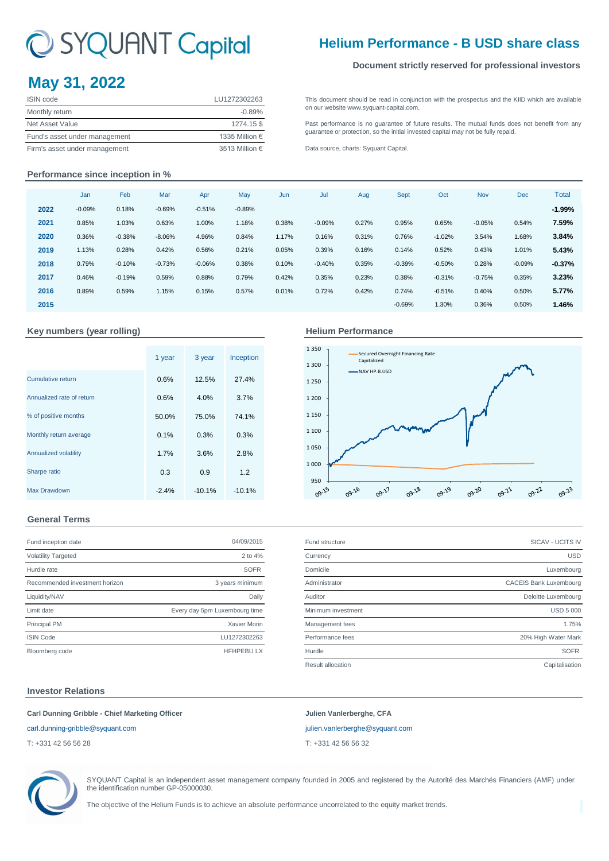# C SYQUANT Capital

# **May 31, 2022**

| <b>ISIN</b> code              | LU1272302263   |
|-------------------------------|----------------|
| Monthly return                | $-0.89%$       |
| Net Asset Value               | 1274.15\$      |
| Fund's asset under management | 1335 Million € |
| Firm's asset under management | 3513 Million € |

# **Helium Performance - B USD share class**

## **Document strictly reserved for professional investors**

[This](http://www.syquant-capital.fr/publications-syquant-capital.php) [document](http://www.syquant-capital.fr/publications-syquant-capital.php) [should](http://www.syquant-capital.fr/publications-syquant-capital.php) be read in [conjunction](http://www.syquant-capital.fr/publications-syquant-capital.php) with the prospectus and the KIID which are available [on our website](http://www.syquant-capital.fr/publications-syquant-capital.php) www.syquant-capital.com.

[Past](http://www.syquant-capital.fr/publications-syquant-capital.php) [performance](http://www.syquant-capital.fr/publications-syquant-capital.php) is no [guarantee](http://www.syquant-capital.fr/publications-syquant-capital.php) of future results. The mutual funds does not benefit from any [guarantee or p](http://www.syquant-capital.fr/publications-syquant-capital.php)rotection, so the initial invested capital may not be fully repaid.

[Data source, c](http://www.syquant-capital.fr/publications-syquant-capital.php)harts: Syquant Capital.

## **Performance since inception in %**

|      | Jan      | Feb      | Mar      | Apr      | May      | Jun   | Jul      | Aug   | Sept     | Oct      | Nov      | Dec      | Total    |
|------|----------|----------|----------|----------|----------|-------|----------|-------|----------|----------|----------|----------|----------|
| 2022 | $-0.09%$ | 0.18%    | $-0.69%$ | $-0.51%$ | $-0.89%$ |       |          |       |          |          |          |          | $-1.99%$ |
| 2021 | 0.85%    | 1.03%    | 0.63%    | 1.00%    | 1.18%    | 0.38% | $-0.09%$ | 0.27% | 0.95%    | 0.65%    | $-0.05%$ | 0.54%    | 7.59%    |
| 2020 | 0.36%    | $-0.38%$ | $-8.06%$ | 4.96%    | 0.84%    | 1.17% | 0.16%    | 0.31% | 0.76%    | $-1.02%$ | 3.54%    | 1.68%    | 3.84%    |
| 2019 | 1.13%    | 0.28%    | 0.42%    | 0.56%    | 0.21%    | 0.05% | 0.39%    | 0.16% | 0.14%    | 0.52%    | 0.43%    | 1.01%    | 5.43%    |
| 2018 | 0.79%    | $-0.10%$ | $-0.73%$ | $-0.06%$ | 0.38%    | 0.10% | $-0.40%$ | 0.35% | $-0.39%$ | $-0.50%$ | 0.28%    | $-0.09%$ | $-0.37%$ |
| 2017 | 0.46%    | $-0.19%$ | 0.59%    | 0.88%    | 0.79%    | 0.42% | 0.35%    | 0.23% | 0.38%    | $-0.31%$ | $-0.75%$ | 0.35%    | 3.23%    |
| 2016 | 0.89%    | 0.59%    | 1.15%    | 0.15%    | 0.57%    | 0.01% | 0.72%    | 0.42% | 0.74%    | $-0.51%$ | 0.40%    | 0.50%    | 5.77%    |
| 2015 |          |          |          |          |          |       |          |       | $-0.69%$ | 1.30%    | 0.36%    | 0.50%    | 1.46%    |
|      |          |          |          |          |          |       |          |       |          |          |          |          |          |

## **Key numbers (year rolling)**

|                           | 1 year  | 3 year   | Inception |
|---------------------------|---------|----------|-----------|
| <b>Cumulative return</b>  | 0.6%    | 12.5%    | 27.4%     |
| Annualized rate of return | 0.6%    | 4.0%     | 3.7%      |
| % of positive months      | 50.0%   | 75.0%    | 74.1%     |
| Monthly return average    | 0.1%    | 0.3%     | 0.3%      |
| Annualized volatility     | 1.7%    | 3.6%     | 2.8%      |
| Sharpe ratio              | 0.3     | 0.9      | 1.2       |
| Max Drawdown              | $-2.4%$ | $-10.1%$ | $-10.1%$  |

# **Helium Performance**



# **General Terms**

| Fund inception date            | 04/09/2015                    |
|--------------------------------|-------------------------------|
| <b>Volatility Targeted</b>     | 2 to 4%                       |
| Hurdle rate                    | <b>SOFR</b>                   |
| Recommended investment horizon | 3 years minimum               |
| Liquidity/NAV                  | Daily                         |
| Limit date                     | Every day 5pm Luxembourg time |
| <b>Principal PM</b>            | Xavier Morin                  |
| <b>ISIN Code</b>               | LU1272302263                  |
| Bloomberg code                 | <b>HFHPEBULX</b>              |

| Fund inception date            | 04/09/2015                    | Fund structure     | SICAV - UCITS IV              |
|--------------------------------|-------------------------------|--------------------|-------------------------------|
| <b>Volatility Targeted</b>     | 2 to 4%                       | Currency           | <b>USD</b>                    |
| Hurdle rate                    | <b>SOFR</b>                   | Domicile           | Luxembourg                    |
| Recommended investment horizon | 3 years minimum               | Administrator      | <b>CACEIS Bank Luxembourg</b> |
| Liquidity/NAV                  | Daily                         | Auditor            | Deloitte Luxembourg           |
| Limit date                     | Every day 5pm Luxembourg time | Minimum investment | <b>USD 5 000</b>              |
| <b>Principal PM</b>            | Xavier Morin                  | Management fees    | 1.75%                         |
| <b>ISIN Code</b>               | LU1272302263                  | Performance fees   | 20% High Water Mark           |
| Bloomberg code                 | <b>HFHPEBULX</b>              | Hurdle             | <b>SOFR</b>                   |
|                                |                               | Result allocation  | Capitalisation                |
|                                |                               |                    |                               |

### **Investor Relations**

## **Carl Dunning Gribble - Chief Marketing Officer Julien Vanlerberghe, CFA**

T: +331 42 56 56 28 T: +331 42 56 56 32

[carl.dunning-gribble@syquant.com](mailto:carl.dunning-gribble@syquant.com) [julien.vanlerberghe@syquant.com](mailto:julien.vanlerberghe@syquant.com) 



SYQUANT Capital is an independent asset management company founded in 2005 and registered by the Autorité des Marchés Financiers (AMF) under the identification number GP-05000030.

The objective of the Helium Funds is to achieve an absolute performance uncorrelated to the equity market trends.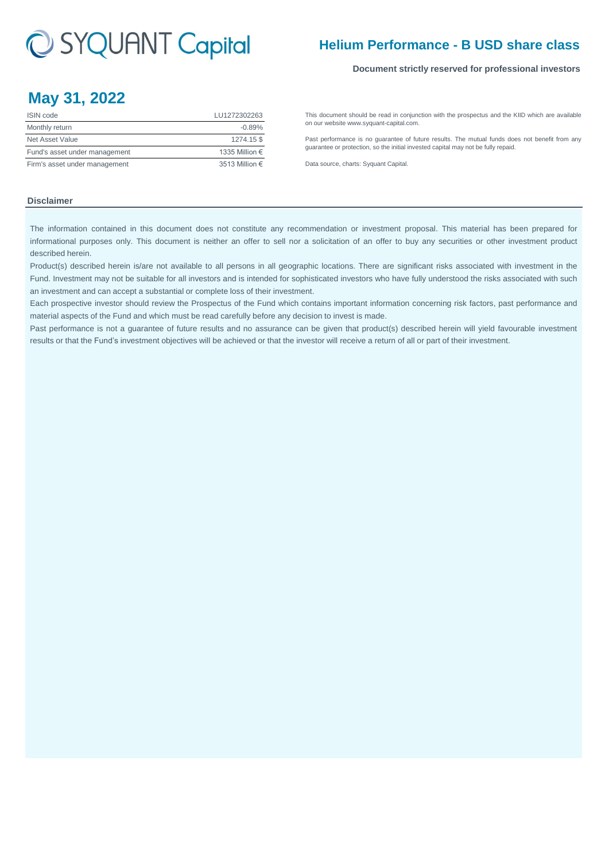# C SYQUANT Capital

# **Helium Performance - B USD share class**

### **Document strictly reserved for professional investors**

# **May 31, 2022**

| <b>ISIN</b> code              | LU1272302263   |
|-------------------------------|----------------|
| Monthly return                | $-0.89%$       |
| Net Asset Value               | 1274.15\$      |
| Fund's asset under management | 1335 Million € |
| Firm's asset under management | 3513 Million € |

[This](http://www.syquant-capital.fr/publications-syquant-capital.php) [document](http://www.syquant-capital.fr/publications-syquant-capital.php) [should](http://www.syquant-capital.fr/publications-syquant-capital.php) be read in [conjunction](http://www.syquant-capital.fr/publications-syquant-capital.php) with the prospectus and the KIID which are available [on our website](http://www.syquant-capital.fr/publications-syquant-capital.php) www.syquant-capital.com.

[Past](http://www.syquant-capital.fr/publications-syquant-capital.php) [performance](http://www.syquant-capital.fr/publications-syquant-capital.php) is no [guarantee](http://www.syquant-capital.fr/publications-syquant-capital.php) of future results. The mutual funds does not benefit from any [guarantee or p](http://www.syquant-capital.fr/publications-syquant-capital.php)rotection, so the initial invested capital may not be fully repaid.

[Data source, c](http://www.syquant-capital.fr/publications-syquant-capital.php)harts: Syquant Capital.

## **Disclaimer**

The information contained in this document does not constitute any recommendation or investment proposal. This material has been prepared for informational purposes only. This document is neither an offer to sell nor a solicitation of an offer to buy any securities or other investment product described herein.

Product(s) described herein is/are not available to all persons in all geographic locations. There are significant risks associated with investment in the Fund. Investment may not be suitable for all investors and is intended for sophisticated investors who have fully understood the risks associated with such an investment and can accept a substantial or complete loss of their investment.

Each prospective investor should review the Prospectus of the Fund which contains important information concerning risk factors, past performance and material aspects of the Fund and which must be read carefully before any decision to invest is made.

Past performance is not a guarantee of future results and no assurance can be given that product(s) described herein will yield favourable investment results or that the Fund's investment objectives will be achieved or that the investor will receive a return of all or part of their investment.